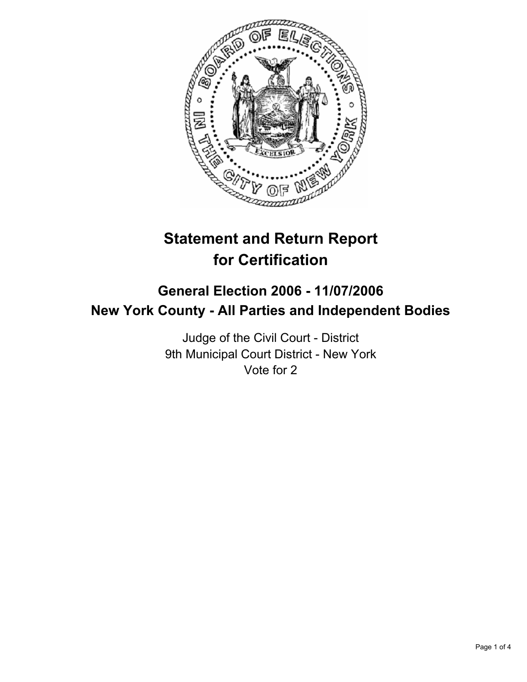

# **Statement and Return Report for Certification**

# **General Election 2006 - 11/07/2006 New York County - All Parties and Independent Bodies**

Judge of the Civil Court - District 9th Municipal Court District - New York Vote for 2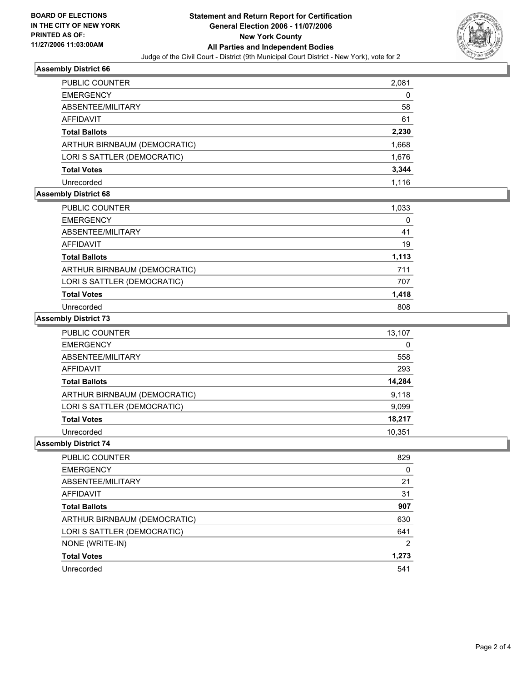

#### **Assembly District 66**

| PUBLIC COUNTER               | 2,081 |
|------------------------------|-------|
| <b>EMERGENCY</b>             | 0     |
| ABSENTEE/MILITARY            | 58    |
| <b>AFFIDAVIT</b>             | 61    |
| <b>Total Ballots</b>         | 2,230 |
| ARTHUR BIRNBAUM (DEMOCRATIC) | 1,668 |
| LORI S SATTLER (DEMOCRATIC)  | 1,676 |
| <b>Total Votes</b>           | 3,344 |
| Unrecorded                   | 1.116 |

### **Assembly District 68**

| PUBLIC COUNTER               | 1,033 |
|------------------------------|-------|
| <b>EMERGENCY</b>             |       |
| ABSENTEE/MILITARY            | 41    |
| AFFIDAVIT                    | 19    |
| <b>Total Ballots</b>         | 1,113 |
| ARTHUR BIRNBAUM (DEMOCRATIC) | 711   |
| LORI S SATTLER (DEMOCRATIC)  | 707   |
| <b>Total Votes</b>           | 1,418 |
| Unrecorded                   | 808   |

#### **Assembly District 73**

| PUBLIC COUNTER               | 13,107 |
|------------------------------|--------|
| <b>EMERGENCY</b>             | 0      |
| ABSENTEE/MILITARY            | 558    |
| <b>AFFIDAVIT</b>             | 293    |
| <b>Total Ballots</b>         | 14,284 |
| ARTHUR BIRNBAUM (DEMOCRATIC) | 9,118  |
| LORI S SATTLER (DEMOCRATIC)  | 9,099  |
| <b>Total Votes</b>           | 18,217 |
| Unrecorded                   | 10,351 |

#### **Assembly District 74**

| PUBLIC COUNTER               | 829   |
|------------------------------|-------|
| <b>EMERGENCY</b>             |       |
| ABSENTEE/MILITARY            | 21    |
| AFFIDAVIT                    | 31    |
| <b>Total Ballots</b>         | 907   |
| ARTHUR BIRNBAUM (DEMOCRATIC) | 630   |
| LORI S SATTLER (DEMOCRATIC)  | 641   |
| NONE (WRITE-IN)              |       |
| <b>Total Votes</b>           | 1,273 |
| Unrecorded                   | 541   |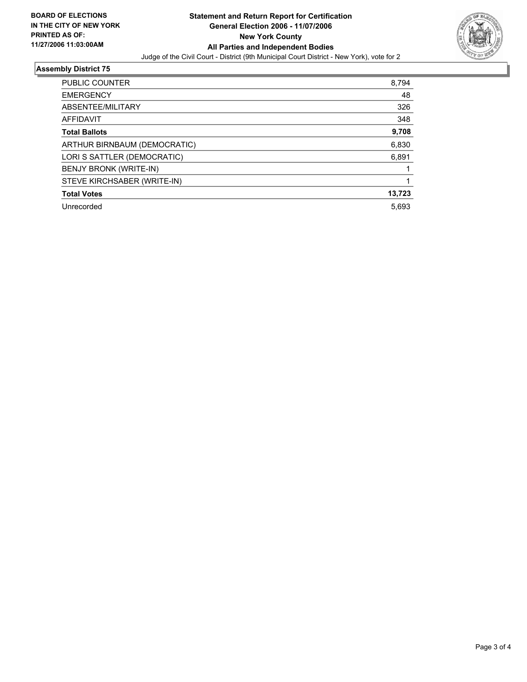

## **Assembly District 75**

| PUBLIC COUNTER               | 8,794  |
|------------------------------|--------|
| <b>EMERGENCY</b>             | 48     |
| ABSENTEE/MILITARY            | 326    |
| AFFIDAVIT                    | 348    |
| <b>Total Ballots</b>         | 9,708  |
| ARTHUR BIRNBAUM (DEMOCRATIC) | 6,830  |
| LORI S SATTLER (DEMOCRATIC)  | 6,891  |
| BENJY BRONK (WRITE-IN)       |        |
| STEVE KIRCHSABER (WRITE-IN)  |        |
| <b>Total Votes</b>           | 13,723 |
| Unrecorded                   | 5,693  |
|                              |        |